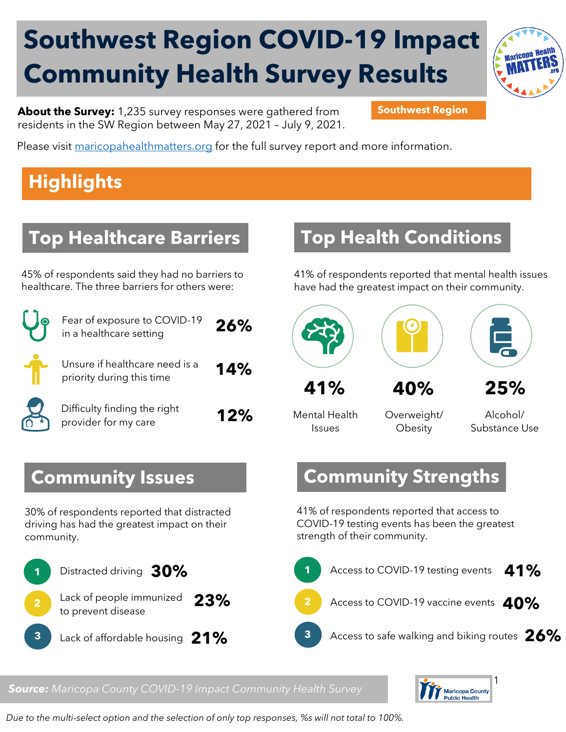# **Southwest Region COVID-19 Impact Community Health Survey Results**



**About the Survey:** 1,235 survey responses were gathered from **Southwest Region** residents in the SW Region between May 27, 2021 – July 9, 2021.

Please visit [maricopahealthmatters.org](https://www.maricopa.gov/5100/Health-Data-Maricopa-Health-Matters) for the full survey report and more information.

## **Highlights**

### **Top Healthcare Barriers**

45% of respondents said they had no barriers to healthcare. The three barriers for others were:

| $\ddot{\bullet}$ | Fe<br>in |
|------------------|----------|
|                  |          |

| Fear of exposure to COVID-19<br>in a healthcare setting     | 26% |
|-------------------------------------------------------------|-----|
| Unsure if healthcare need is a<br>priority during this time | 14% |
| Difficulty finding the right<br>provider for my care        | 12% |

#### **Top Health Conditions**

41% of respondents reported that mental health issues have had the greatest impact on their community.





**41% 40%**

Mental Health Issues

Overweight/ **Obesity** 

Alcohol/ Substance Use

**25%**

#### **Community Strengths**

41% of respondents reported that access to COVID-19 testing events has been the greatest strength of their community.



#### *Source: Maricopa County COVID-19 Impact Community Health Survey*



*Due to the multi-select option and the selection of only top responses, %s will not total to 100%.* 

**Community Issues**

30% of respondents reported that distracted driving has had the greatest impact on their community.

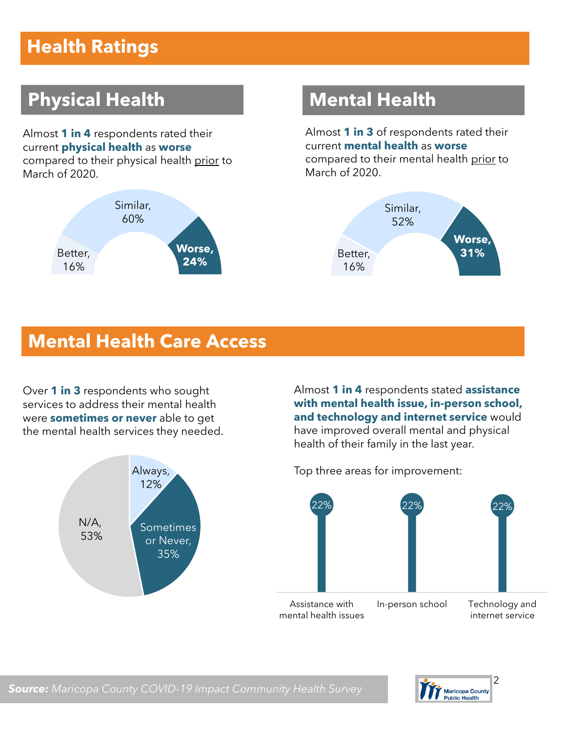## **Health Ratings**

## **Physical Health Mental Health**

Almost **1 in 4** respondents rated their current **physical health** as **worse** compared to their physical health prior to March of 2020.



Almost **1 in 3** of respondents rated their current **mental health** as **worse** compared to their mental health prior to March of 2020.



#### **Mental Health Care Access**

Over **1 in 3** respondents who sought services to address their mental health were **sometimes or never** able to get the mental health services they needed.



Almost **1 in 4** respondents stated **assistance with mental health issue, in-person school, and technology and internet service** would have improved overall mental and physical health of their family in the last year.



Top three areas for improvement:

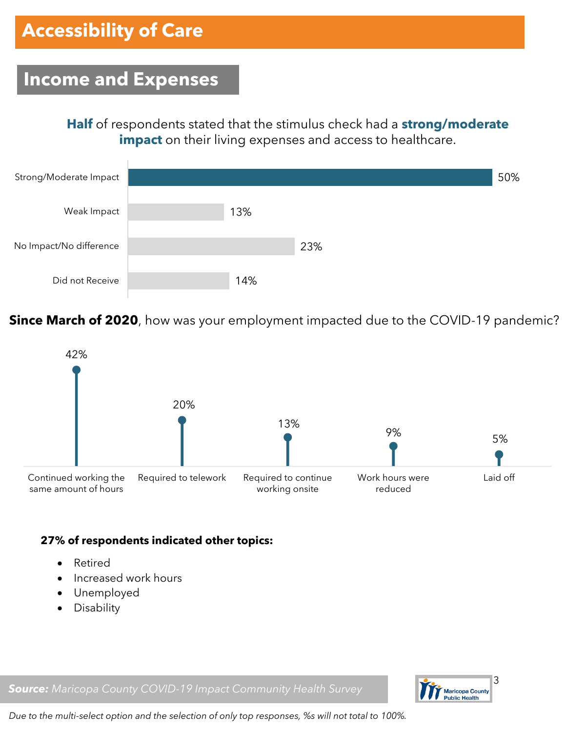#### **Income and Expenses**

**Half** of respondents stated that the stimulus check had a **strong/moderate impact** on their living expenses and access to healthcare.



**Since March of 2020**, how was your employment impacted due to the COVID-19 pandemic?



#### **27% of respondents indicated other topics:**

- Retired
- Increased work hours
- Unemployed
- Disability

*Source: Maricopa County COVID-19 Impact Community Health Survey*



*Due to the multi-select option and the selection of only top responses, %s will not total to 100%.*